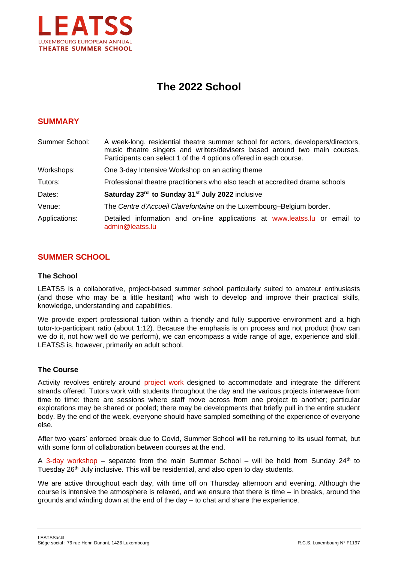

# **The 2022 School**

# **SUMMARY**

| Summer School: | A week-long, residential theatre summer school for actors, developers/directors,<br>music theatre singers and writers/devisers based around two main courses.<br>Participants can select 1 of the 4 options offered in each course. |  |
|----------------|-------------------------------------------------------------------------------------------------------------------------------------------------------------------------------------------------------------------------------------|--|
| Workshops:     | One 3-day Intensive Workshop on an acting theme                                                                                                                                                                                     |  |
| Tutors:        | Professional theatre practitioners who also teach at accredited drama schools                                                                                                                                                       |  |
| Dates:         | Saturday 23rd to Sunday 31 <sup>st</sup> July 2022 inclusive                                                                                                                                                                        |  |
| Venue:         | The Centre d'Accueil Clairefontaine on the Luxembourg-Belgium border.                                                                                                                                                               |  |
| Applications:  | Detailed information and on-line applications at www.leatss.lu or email to<br>admin@leatss.lu                                                                                                                                       |  |

# **SUMMER SCHOOL**

## **The School**

LEATSS is a collaborative, project-based summer school particularly suited to amateur enthusiasts (and those who may be a little hesitant) who wish to develop and improve their practical skills, knowledge, understanding and capabilities.

We provide expert professional tuition within a friendly and fully supportive environment and a high tutor-to-participant ratio (about 1:12). Because the emphasis is on process and not product (how can we do it, not how well do we perform), we can encompass a wide range of age, experience and skill. LEATSS is, however, primarily an adult school.

# **The Course**

Activity revolves entirely around project work designed to accommodate and integrate the different strands offered. Tutors work with students throughout the day and the various projects interweave from time to time: there are sessions where staff move across from one project to another; particular explorations may be shared or pooled; there may be developments that briefly pull in the entire student body. By the end of the week, everyone should have sampled something of the experience of everyone else.

After two years' enforced break due to Covid, Summer School will be returning to its usual format, but with some form of collaboration between courses at the end.

A 3-day workshop – separate from the main Summer School – will be held from Sunday  $24<sup>th</sup>$  to Tuesday  $26<sup>th</sup>$  July inclusive. This will be residential, and also open to day students.

We are active throughout each day, with time off on Thursday afternoon and evening. Although the course is intensive the atmosphere is relaxed, and we ensure that there is time – in breaks, around the grounds and winding down at the end of the day – to chat and share the experience.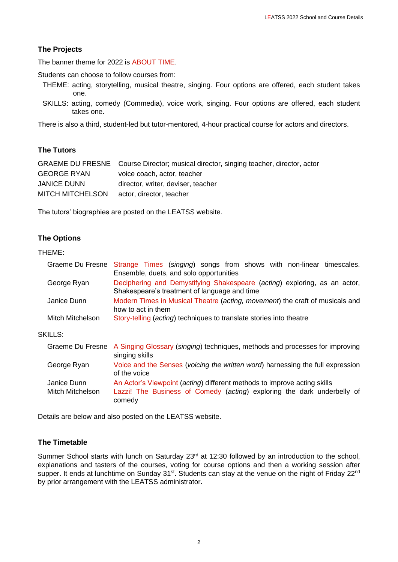# **The Projects**

The banner theme for 2022 is ABOUT TIME.

Students can choose to follow courses from:

- THEME: acting, storytelling, musical theatre, singing. Four options are offered, each student takes one.
- SKILLS: acting, comedy (Commedia), voice work, singing. Four options are offered, each student takes one.

There is also a third, student-led but tutor-mentored, 4-hour practical course for actors and directors.

# **The Tutors**

|                         | GRAEME DU FRESNE Course Director; musical director, singing teacher, director, actor |
|-------------------------|--------------------------------------------------------------------------------------|
| <b>GEORGE RYAN</b>      | voice coach, actor, teacher                                                          |
| <b>JANICE DUNN</b>      | director, writer, deviser, teacher                                                   |
| <b>MITCH MITCHELSON</b> | actor, director, teacher                                                             |
|                         |                                                                                      |

The tutors' biographies are posted on the LEATSS website.

# **The Options**

#### THEME:

| Graeme Du Fresne                | Strange Times (singing) songs from shows with non-linear timescales.<br>Ensemble, duets, and solo opportunities                                     |
|---------------------------------|-----------------------------------------------------------------------------------------------------------------------------------------------------|
| George Ryan                     | Deciphering and Demystifying Shakespeare (acting) exploring, as an actor,<br>Shakespeare's treatment of language and time                           |
| Janice Dunn                     | Modern Times in Musical Theatre (acting, movement) the craft of musicals and<br>how to act in them                                                  |
| Mitch Mitchelson                | Story-telling (acting) techniques to translate stories into theatre                                                                                 |
| <b>SKILLS:</b>                  |                                                                                                                                                     |
|                                 | Graeme Du Fresne A Singing Glossary (singing) techniques, methods and processes for improving<br>singing skills                                     |
| George Ryan                     | Voice and the Senses (voicing the written word) harnessing the full expression<br>of the voice                                                      |
| Janice Dunn<br>Mitch Mitchelson | An Actor's Viewpoint (acting) different methods to improve acting skills<br>Lazzi! The Business of Comedy (acting) exploring the dark underbelly of |

Details are below and also posted on the LEATSS website.

comedy

# **The Timetable**

Summer School starts with lunch on Saturday 23<sup>rd</sup> at 12:30 followed by an introduction to the school, explanations and tasters of the courses, voting for course options and then a working session after supper. It ends at lunchtime on Sunday 31<sup>st</sup>. Students can stay at the venue on the night of Friday 22<sup>nd</sup> by prior arrangement with the LEATSS administrator.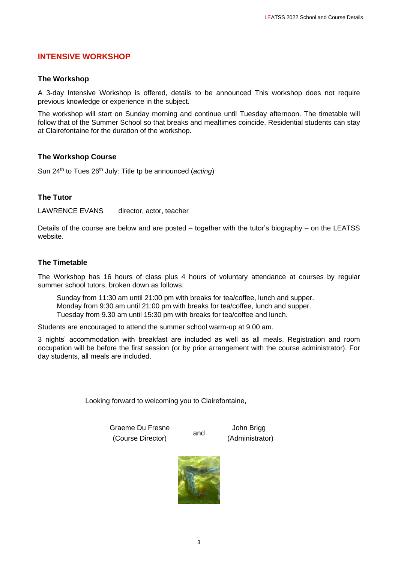# **INTENSIVE WORKSHOP**

## **The Workshop**

A 3-day Intensive Workshop is offered, details to be announced This workshop does not require previous knowledge or experience in the subject.

The workshop will start on Sunday morning and continue until Tuesday afternoon. The timetable will follow that of the Summer School so that breaks and mealtimes coincide. Residential students can stay at Clairefontaine for the duration of the workshop.

## **The Workshop Course**

Sun 24<sup>th</sup> to Tues 26<sup>th</sup> July: Title tp be announced (*acting*)

## **The Tutor**

LAWRENCE EVANS director, actor, teacher

Details of the course are below and are posted – together with the tutor's biography – on the LEATSS website.

## **The Timetable**

The Workshop has 16 hours of class plus 4 hours of voluntary attendance at courses by regular summer school tutors, broken down as follows:

Sunday from 11:30 am until 21:00 pm with breaks for tea/coffee, lunch and supper. Monday from 9:30 am until 21:00 pm with breaks for tea/coffee, lunch and supper. Tuesday from 9.30 am until 15:30 pm with breaks for tea/coffee and lunch.

Students are encouraged to attend the summer school warm-up at 9.00 am.

3 nights' accommodation with breakfast are included as well as all meals. Registration and room occupation will be before the first session (or by prior arrangement with the course administrator). For day students, all meals are included.

Looking forward to welcoming you to Clairefontaine,

Graeme Du Fresne (Course Director)

John Brigg (Administrator)



and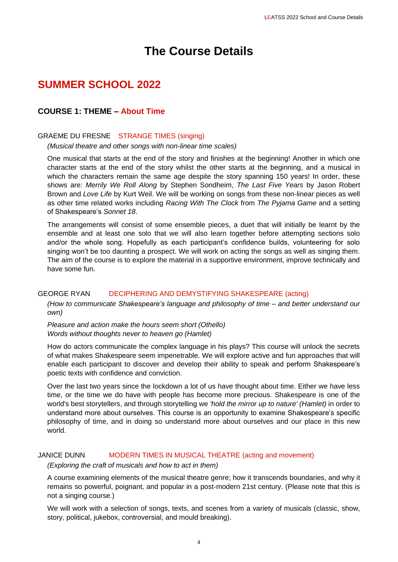# **The Course Details**

# **SUMMER SCHOOL 2022**

# **COURSE 1: THEME – About Time**

## GRAEME DU FRESNE STRANGE TIMES (singing)

*(Musical theatre and other songs with non-linear time scales)*

One musical that starts at the end of the story and finishes at the beginning! Another in which one character starts at the end of the story whilst the other starts at the beginning, and a musical in which the characters remain the same age despite the story spanning 150 years! In order, these shows are: *Merrily We Roll Along* by Stephen Sondheim, *The Last Five Years* by Jason Robert Brown and *Love Life* by Kurt Weil. We will be working on songs from these non-linear pieces as well as other time related works including *Racing With The Clock* from *The Pyjama Game* and a setting of Shakespeare's *Sonnet 18*.

The arrangements will consist of some ensemble pieces, a duet that will initially be learnt by the ensemble and at least one solo that we will also learn together before attempting sections solo and/or the whole song. Hopefully as each participant's confidence builds, volunteering for solo singing won't be too daunting a prospect. We will work on acting the songs as well as singing them. The aim of the course is to explore the material in a supportive environment, improve technically and have some fun.

## GEORGE RYAN DECIPHERING AND DEMYSTIFYING SHAKESPEARE (acting)

*(How to communicate Shakespeare's language and philosophy of time – and better understand our own)*

*Pleasure and action make the hours seem short (Othello) Words without thoughts never to heaven go (Hamlet)*

How do actors communicate the complex language in his plays? This course will unlock the secrets of what makes Shakespeare seem impenetrable. We will explore active and fun approaches that will enable each participant to discover and develop their ability to speak and perform Shakespeare's poetic texts with confidence and conviction.

Over the last two years since the lockdown a lot of us have thought about time. Either we have less time, or the time we do have with people has become more precious. Shakespeare is one of the world's best storytellers, and through storytelling we *'hold the mirror up to nature' (Hamlet)* in order to understand more about ourselves. This course is an opportunity to examine Shakespeare's specific philosophy of time, and in doing so understand more about ourselves and our place in this new world.

## JANICE DUNN MODERN TIMES IN MUSICAL THEATRE (acting and movement)

*(Exploring the craft of musicals and how to act in them)*

A course examining elements of the musical theatre genre; how it transcends boundaries, and why it remains so powerful, poignant, and popular in a post-modern 21st century. (Please note that this is not a singing course.)

We will work with a selection of songs, texts, and scenes from a variety of musicals (classic, show, story, political, jukebox, controversial, and mould breaking).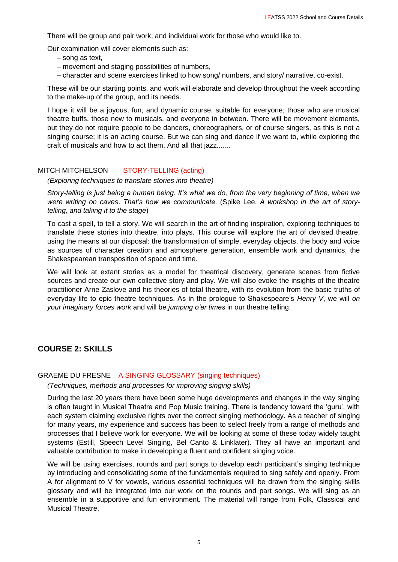There will be group and pair work, and individual work for those who would like to.

Our examination will cover elements such as:

- song as text,
- movement and staging possibilities of numbers,
- character and scene exercises linked to how song/ numbers, and story/ narrative, co-exist.

These will be our starting points, and work will elaborate and develop throughout the week according to the make-up of the group, and its needs.

I hope it will be a joyous, fun, and dynamic course, suitable for everyone; those who are musical theatre buffs, those new to musicals, and everyone in between. There will be movement elements, but they do not require people to be dancers, choreographers, or of course singers, as this is not a singing course; it is an acting course. But we can sing and dance if we want to, while exploring the craft of musicals and how to act them. And all that jazz.......

## MITCH MITCHELSON STORY-TELLING (acting)

*(Exploring techniques to translate stories into theatre)*

*Story-telling is just being a human being. It's what we do, from the very beginning of time, when we were writing on caves*. *That's how we communicate*. (Spike Lee, *A workshop in the art of storytelling, and taking it to the stage*)

To cast a spell, to tell a story. We will search in the art of finding inspiration, exploring techniques to translate these stories into theatre, into plays. This course will explore the art of devised theatre, using the means at our disposal: the transformation of simple, everyday objects, the body and voice as sources of character creation and atmosphere generation, ensemble work and dynamics, the Shakespearean transposition of space and time.

We will look at extant stories as a model for theatrical discovery, generate scenes from fictive sources and create our own collective story and play. We will also evoke the insights of the theatre practitioner Arne Zaslove and his theories of total theatre, with its evolution from the basic truths of everyday life to epic theatre techniques. As in the prologue to Shakespeare's *Henry V*, we will *on your imaginary forces work* and will be *jumping o'er times* in our theatre telling.

# **COURSE 2: SKILLS**

## GRAEME DU FRESNE A SINGING GLOSSARY (singing techniques)

*(Techniques, methods and processes for improving singing skills)*

During the last 20 years there have been some huge developments and changes in the way singing is often taught in Musical Theatre and Pop Music training. There is tendency toward the 'guru', with each system claiming exclusive rights over the correct singing methodology. As a teacher of singing for many years, my experience and success has been to select freely from a range of methods and processes that I believe work for everyone. We will be looking at some of these today widely taught systems (Estill, Speech Level Singing, Bel Canto & Linklater). They all have an important and valuable contribution to make in developing a fluent and confident singing voice.

We will be using exercises, rounds and part songs to develop each participant's singing technique by introducing and consolidating some of the fundamentals required to sing safely and openly. From A for alignment to V for vowels, various essential techniques will be drawn from the singing skills glossary and will be integrated into our work on the rounds and part songs. We will sing as an ensemble in a supportive and fun environment. The material will range from Folk, Classical and Musical Theatre.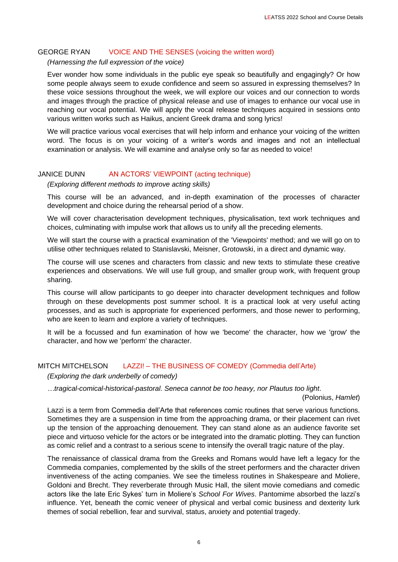## GEORGE RYAN VOICE AND THE SENSES (voicing the written word)

## *(Harnessing the full expression of the voice)*

Ever wonder how some individuals in the public eye speak so beautifully and engagingly? Or how some people always seem to exude confidence and seem so assured in expressing themselves? In these voice sessions throughout the week, we will explore our voices and our connection to words and images through the practice of physical release and use of images to enhance our vocal use in reaching our vocal potential. We will apply the vocal release techniques acquired in sessions onto various written works such as Haikus, ancient Greek drama and song lyrics!

We will practice various vocal exercises that will help inform and enhance your voicing of the written word. The focus is on your voicing of a writer's words and images and not an intellectual examination or analysis. We will examine and analyse only so far as needed to voice!

## JANICE DUNN AN ACTORS' VIEWPOINT (acting technique)

#### *(Exploring different methods to improve acting skills)*

This course will be an advanced, and in-depth examination of the processes of character development and choice during the rehearsal period of a show.

We will cover characterisation development techniques, physicalisation, text work techniques and choices, culminating with impulse work that allows us to unify all the preceding elements.

We will start the course with a practical examination of the 'Viewpoints' method; and we will go on to utilise other techniques related to Stanislavski, Meisner, Grotowski, in a direct and dynamic way.

The course will use scenes and characters from classic and new texts to stimulate these creative experiences and observations. We will use full group, and smaller group work, with frequent group sharing.

This course will allow participants to go deeper into character development techniques and follow through on these developments post summer school. It is a practical look at very useful acting processes, and as such is appropriate for experienced performers, and those newer to performing, who are keen to learn and explore a variety of techniques.

It will be a focussed and fun examination of how we 'become' the character, how we 'grow' the character, and how we 'perform' the character.

## MITCH MITCHELSON LAZZI! – THE BUSINESS OF COMEDY (Commedia dell'Arte)

# *(Exploring the dark underbelly of comedy)*

*…tragical-comical-historical-pastoral. Seneca cannot be too heavy, nor Plautus too light*.

(Polonius, *Hamlet*)

Lazzi is a term from Commedia dell'Arte that references comic routines that serve various functions. Sometimes they are a suspension in time from the approaching drama, or their placement can rivet up the tension of the approaching denouement. They can stand alone as an audience favorite set piece and virtuoso vehicle for the actors or be integrated into the dramatic plotting. They can function as comic relief and a contrast to a serious scene to intensify the overall tragic nature of the play.

The renaissance of classical drama from the Greeks and Romans would have left a legacy for the Commedia companies, complemented by the skills of the street performers and the character driven inventiveness of the acting companies. We see the timeless routines in Shakespeare and Moliere, Goldoni and Brecht. They reverberate through Music Hall, the silent movie comedians and comedic actors like the late Eric Sykes' turn in Moliere's *School For Wives*. Pantomime absorbed the lazzi's influence. Yet, beneath the comic veneer of physical and verbal comic business and dexterity lurk themes of social rebellion, fear and survival, status, anxiety and potential tragedy.